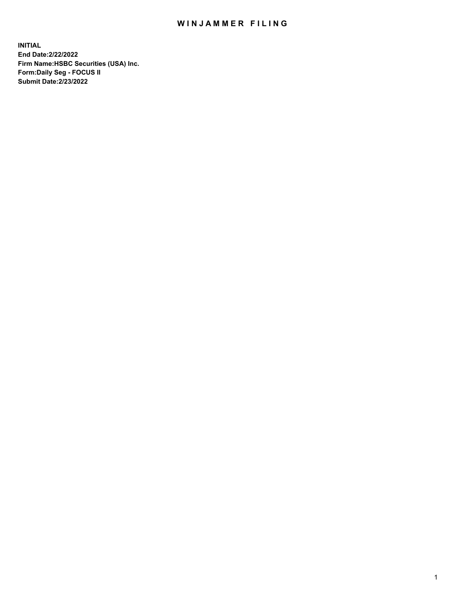## WIN JAMMER FILING

**INITIAL End Date:2/22/2022 Firm Name:HSBC Securities (USA) Inc. Form:Daily Seg - FOCUS II Submit Date:2/23/2022**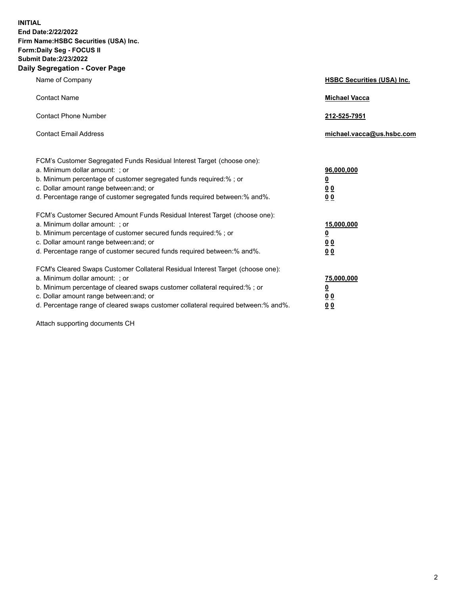**INITIAL End Date:2/22/2022 Firm Name:HSBC Securities (USA) Inc. Form:Daily Seg - FOCUS II Submit Date:2/23/2022 Daily Segregation - Cover Page**

| Name of Company                                                                                                                                                                                                                                                                                                                | <b>HSBC Securities (USA) Inc.</b>                          |
|--------------------------------------------------------------------------------------------------------------------------------------------------------------------------------------------------------------------------------------------------------------------------------------------------------------------------------|------------------------------------------------------------|
| <b>Contact Name</b>                                                                                                                                                                                                                                                                                                            | <b>Michael Vacca</b>                                       |
| <b>Contact Phone Number</b>                                                                                                                                                                                                                                                                                                    | 212-525-7951                                               |
| <b>Contact Email Address</b>                                                                                                                                                                                                                                                                                                   | michael.vacca@us.hsbc.com                                  |
| FCM's Customer Segregated Funds Residual Interest Target (choose one):<br>a. Minimum dollar amount: ; or<br>b. Minimum percentage of customer segregated funds required:% ; or<br>c. Dollar amount range between: and; or<br>d. Percentage range of customer segregated funds required between:% and%.                         | 96,000,000<br><u>0</u><br>0 <sub>0</sub><br>0 <sub>0</sub> |
| FCM's Customer Secured Amount Funds Residual Interest Target (choose one):<br>a. Minimum dollar amount: ; or<br>b. Minimum percentage of customer secured funds required:%; or<br>c. Dollar amount range between: and; or<br>d. Percentage range of customer secured funds required between:% and%.                            | 15,000,000<br><u>0</u><br>0 <sub>0</sub><br>00             |
| FCM's Cleared Swaps Customer Collateral Residual Interest Target (choose one):<br>a. Minimum dollar amount: ; or<br>b. Minimum percentage of cleared swaps customer collateral required:% ; or<br>c. Dollar amount range between: and; or<br>d. Percentage range of cleared swaps customer collateral required between:% and%. | 75,000,000<br><u>0</u><br><u>00</u><br>00                  |

Attach supporting documents CH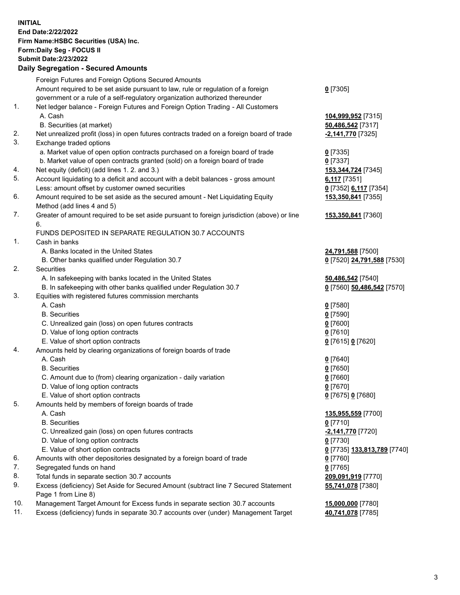**INITIAL End Date:2/22/2022 Firm Name:HSBC Securities (USA) Inc. Form:Daily Seg - FOCUS II Submit Date:2/23/2022 Daily Segregation - Secured Amounts** Foreign Futures and Foreign Options Secured Amounts Amount required to be set aside pursuant to law, rule or regulation of a foreign government or a rule of a self-regulatory organization authorized thereunder 1. Net ledger balance - Foreign Futures and Foreign Option Trading - All Customers A. Cash **104,999,952** [7315] B. Securities (at market) **50,486,542** [7317] 2. Net unrealized profit (loss) in open futures contracts traded on a foreign board of trade **-2,141,770** [7325] 3. Exchange traded options a. Market value of open option contracts purchased on a foreign board of trade **0** [7335] b. Market value of open contracts granted (sold) on a foreign board of trade **0** [7337] 4. Net equity (deficit) (add lines 1. 2. and 3.) **153,344,724** [7345] 5. Account liquidating to a deficit and account with a debit balances - gross amount **6,117** [7351] Less: amount offset by customer owned securities **0** [7352] **6,117** [7354] 6. Amount required to be set aside as the secured amount - Net Liquidating Equity Method (add lines 4 and 5) 7. Greater of amount required to be set aside pursuant to foreign jurisdiction (above) or line 6. FUNDS DEPOSITED IN SEPARATE REGULATION 30.7 ACCOUNTS 1. Cash in banks A. Banks located in the United States **24,791,588** [7500] B. Other banks qualified under Regulation 30.7 **0** [7520] **24,791,588** [7530] 2. Securities A. In safekeeping with banks located in the United States **50,486,542** [7540] B. In safekeeping with other banks qualified under Regulation 30.7 **0** [7560] **50,486,542** [7570] 3. Equities with registered futures commission merchants A. Cash **0** [7580] B. Securities **0** [7590] C. Unrealized gain (loss) on open futures contracts **0** [7600] D. Value of long option contracts **0** [7610] E. Value of short option contracts **0** [7615] **0** [7620] 4. Amounts held by clearing organizations of foreign boards of trade A. Cash **0** [7640] B. Securities **0** [7650] C. Amount due to (from) clearing organization - daily variation **0** [7660] D. Value of long option contracts **0** [7670]

**0** [7305]

**153,350,841** [7355]

**153,350,841** [7360]

**55,741,078** [7380]

- E. Value of short option contracts **0** [7675] **0** [7680]
- 5. Amounts held by members of foreign boards of trade
	- A. Cash **135,955,559** [7700]
	- B. Securities **0** [7710]
	- C. Unrealized gain (loss) on open futures contracts **-2,141,770** [7720]
	- D. Value of long option contracts **0** [7730]
	- E. Value of short option contracts **0** [7735] **133,813,789** [7740]
- 6. Amounts with other depositories designated by a foreign board of trade **0** [7760]
- 7. Segregated funds on hand **0** [7765]
- 8. Total funds in separate section 30.7 accounts **209,091,919** [7770]
- 9. Excess (deficiency) Set Aside for Secured Amount (subtract line 7 Secured Statement Page 1 from Line 8)
- 10. Management Target Amount for Excess funds in separate section 30.7 accounts **15,000,000** [7780]
- 11. Excess (deficiency) funds in separate 30.7 accounts over (under) Management Target **40,741,078** [7785]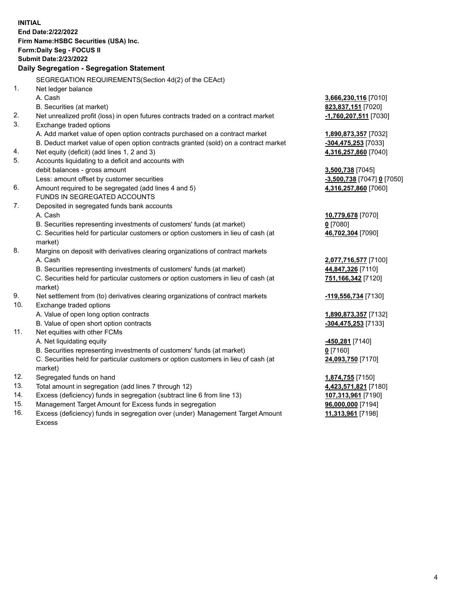**INITIAL End Date:2/22/2022 Firm Name:HSBC Securities (USA) Inc. Form:Daily Seg - FOCUS II Submit Date:2/23/2022 Daily Segregation - Segregation Statement** SEGREGATION REQUIREMENTS(Section 4d(2) of the CEAct) 1. Net ledger balance A. Cash **3,666,230,116** [7010] B. Securities (at market) **823,837,151** [7020] 2. Net unrealized profit (loss) in open futures contracts traded on a contract market **-1,760,207,511** [7030] 3. Exchange traded options A. Add market value of open option contracts purchased on a contract market **1,890,873,357** [7032] B. Deduct market value of open option contracts granted (sold) on a contract market **-304,475,253** [7033] 4. Net equity (deficit) (add lines 1, 2 and 3) **4,316,257,860** [7040] 5. Accounts liquidating to a deficit and accounts with debit balances - gross amount **3,500,738** [7045] Less: amount offset by customer securities **-3,500,738** [7047] **0** [7050] 6. Amount required to be segregated (add lines 4 and 5) **4,316,257,860** [7060] FUNDS IN SEGREGATED ACCOUNTS 7. Deposited in segregated funds bank accounts A. Cash **10,779,678** [7070] B. Securities representing investments of customers' funds (at market) **0** [7080] C. Securities held for particular customers or option customers in lieu of cash (at market) **46,702,304** [7090] 8. Margins on deposit with derivatives clearing organizations of contract markets A. Cash **2,077,716,577** [7100] B. Securities representing investments of customers' funds (at market) **44,847,326** [7110] C. Securities held for particular customers or option customers in lieu of cash (at market) **751,166,342** [7120] 9. Net settlement from (to) derivatives clearing organizations of contract markets **-119,556,734** [7130] 10. Exchange traded options A. Value of open long option contracts **1,890,873,357** [7132] B. Value of open short option contracts **-304,475,253** [7133] 11. Net equities with other FCMs A. Net liquidating equity **-450,281** [7140] B. Securities representing investments of customers' funds (at market) **0** [7160] C. Securities held for particular customers or option customers in lieu of cash (at market) **24,093,750** [7170] 12. Segregated funds on hand **1,874,755** [7150] 13. Total amount in segregation (add lines 7 through 12) **4,423,571,821** [7180] 14. Excess (deficiency) funds in segregation (subtract line 6 from line 13) **107,313,961** [7190] 15. Management Target Amount for Excess funds in segregation **96,000,000** [7194] **11,313,961** [7198]

16. Excess (deficiency) funds in segregation over (under) Management Target Amount Excess